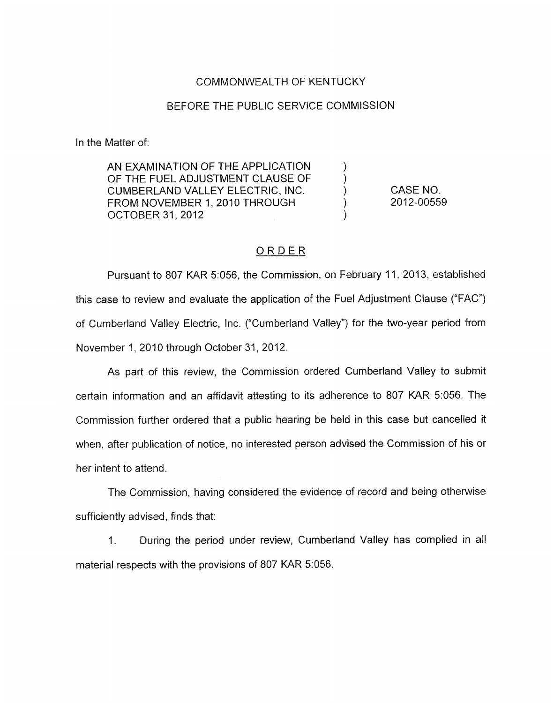## COMMONWEALTH OF KENTUCKY

## BEFORE THE PUBLIC SERVICE COMMISSION

In the Matter of:

AN EXAMINATION OF THE APPLICATION OF THE FUEL ADJUSTMENT CLAUSE OF CUMBERLAND VALLEY ELECTRIC, INC.  $\qquad \qquad$ ) CASE NO.<br>FROM NOVEMBER 1. 2010 THROUGH (2012-0055) FROM NOVEMBER 1, 2010 THROUGH OCTOBER 31,2012 ) 20 12-00559

## ORDER

Pursuant to 807 KAR 5:056, the Commission, on February 11, 2013, established this case to review and evaluate the application of the Fuel Adjustment Clause ("FAC") of Cumberland Valley Electric, Inc. ("Cumberland Valley") for the two-year period from November 1, 2010 through October 31, 2012.

As part of this review, the Commission ordered Cumberland Valley to submit certain information and an affidavit attesting to its adherence to 807 KAR 5:056. The Commission further ordered that a public hearing be held in this case but cancelled it when, after publication of notice, no interested person advised the Commission of his or her intent to attend.

The Commission, having considered the evidence of record and being otherwise sufficiently advised, finds that:

1. During the period under review, Cumberland Valley has complied in all material respects with the provisions of 807 KAR 5:056.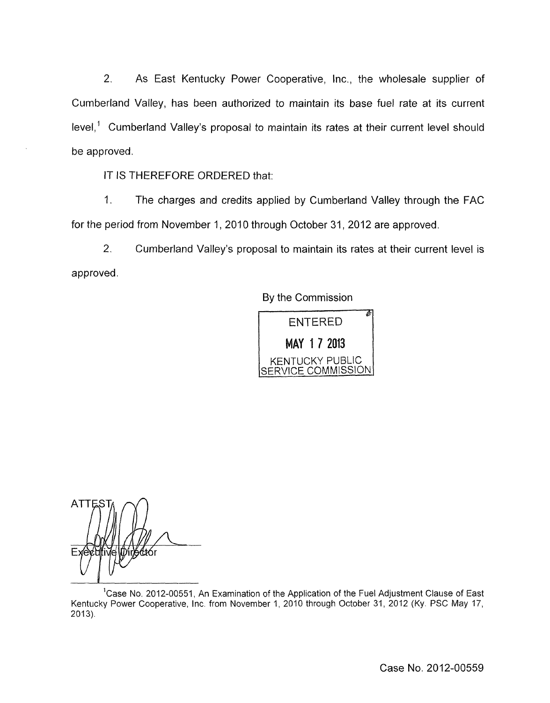2. As East Kentucky Power Cooperative, Inc., the wholesale supplier of Cumberland Valley, has been authorized to maintain its base fuel rate at its current level,' Cumberland Valley's proposal to maintain its rates at their current level should be approved.

IT IS THEREFORE ORDERED that:

1. The charges and credits applied by Cumberland Valley through the FAC for the period from November 1, 2010 through October 31, 2012 are approved.

*2.* Cumberland Valley's proposal to maintain its rates at their current level is approved.

By the Commission



**ATTE** 6⁄któr

<sup>1</sup> Case No. 2012-00551, An Examination of the Application of the Fuel Adjustment Clause of East Kentucky Power Cooperative, Inc. from November I, 2010 through October 31, 2012 **(Ky.** PSC May 17,  $2013$ ).